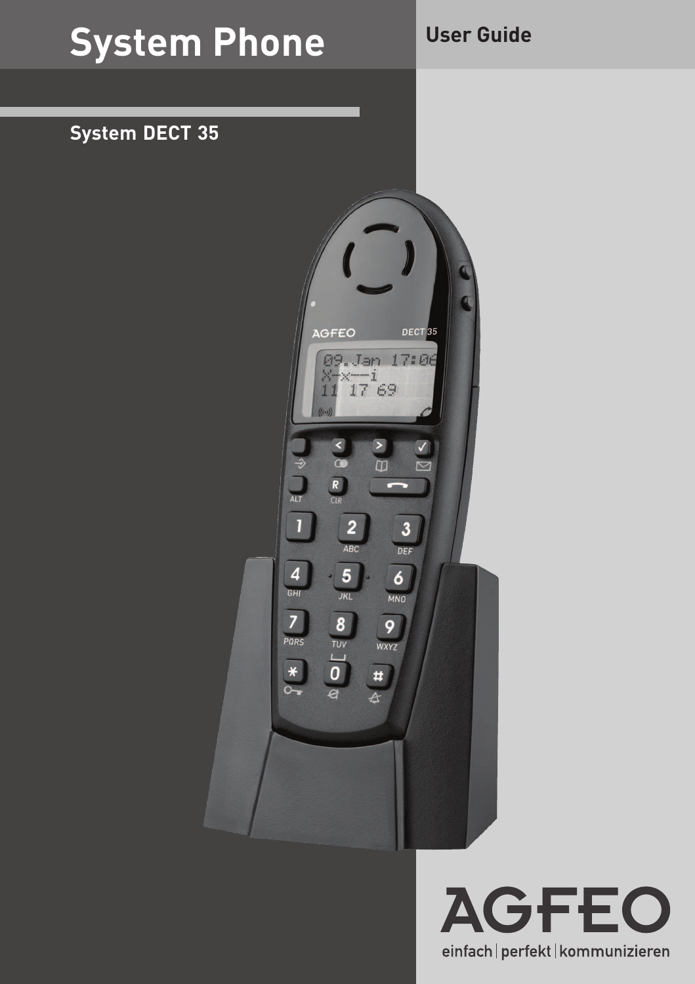## **System Phone**

## **User Guide**

## **System DECT 35**



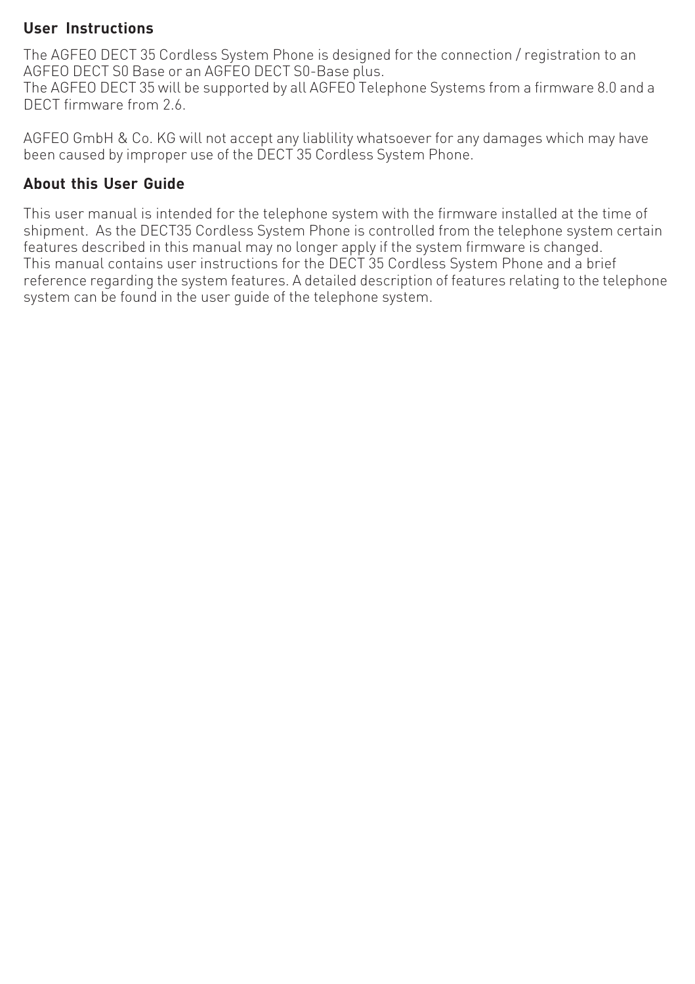#### **User Instructions**

The AGFEO DECT 35 Cordless System Phone is designed for the connection / registration to an AGFEO DECT S0 Base or an AGFEO DECT S0-Base plus.

The AGFEO DECT 35 will be supported by all AGFEO Telephone Systems from a firmware 8.0 and a DECT firmware from 2.6

AGFEO GmbH & Co. KG will not accept any liablility whatsoever for any damages which may have been caused by improper use of the DECT 35 Cordless System Phone.

#### **About this User Guide**

This user manual is intended for the telephone system with the firmware installed at the time of shipment. As the DECT35 Cordless System Phone is controlled from the telephone system certain features described in this manual may no longer apply if the system firmware is changed. This manual contains user instructions for the DECT 35 Cordless System Phone and a brief reference regarding the system features. A detailed description of features relating to the telephone system can be found in the user guide of the telephone system.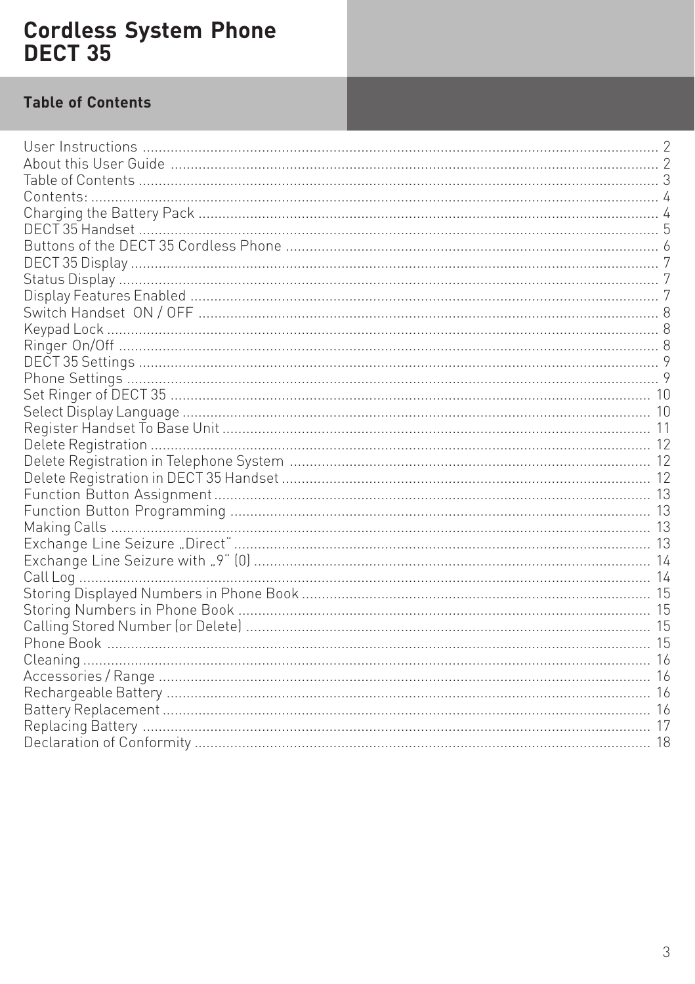## **Table of Contents**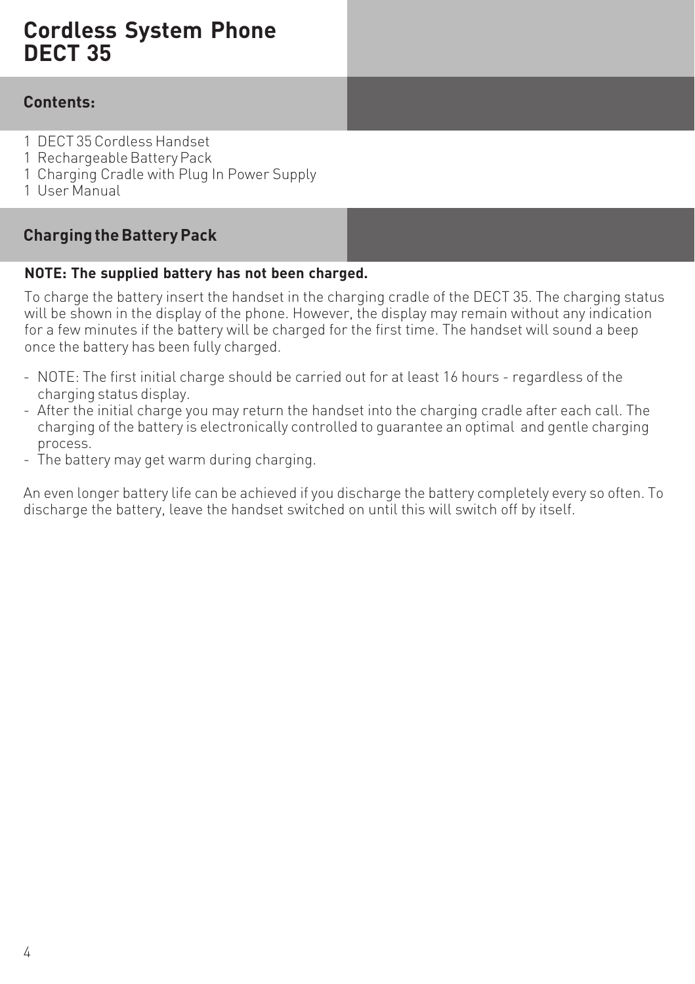#### **Contents:**

- 1 DECT 35 Cordless Handset
- 1 Rechargeable Battery Pack
- 1 Charging Cradle with Plug In Power Supply
- 1 User Manual

### **Charging the Battery Pack**

#### **NOTE: The supplied battery has not been charged.**

To charge the battery insert the handset in the charging cradle of the DECT 35. The charging status will be shown in the display of the phone. However, the display may remain without any indication for a few minutes if the battery will be charged for the first time. The handset will sound a beep once the battery has been fully charged.

- NOTE: The first initial charge should be carried out for at least 16 hours regardless of the charging status display.
- After the initial charge you may return the handset into the charging cradle after each call. The charging of the battery is electronically controlled to guarantee an optimal and gentle charging process.
- The battery may get warm during charging.

An even longer battery life can be achieved if you discharge the battery completely every so often. To discharge the battery, leave the handset switched on until this will switch off by itself.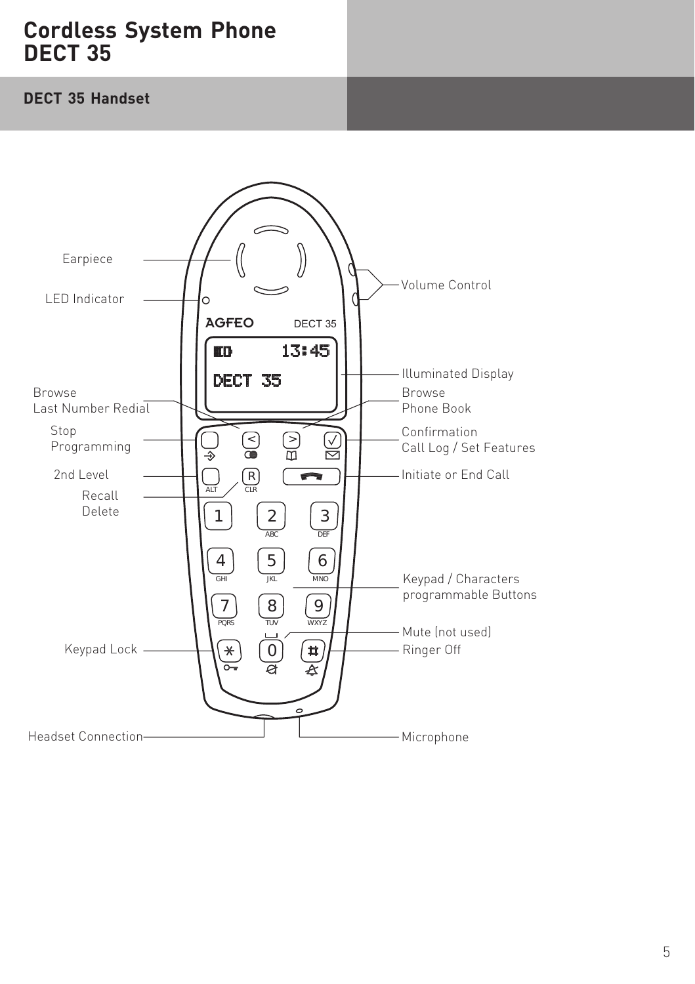#### **DECT 35 Handset**

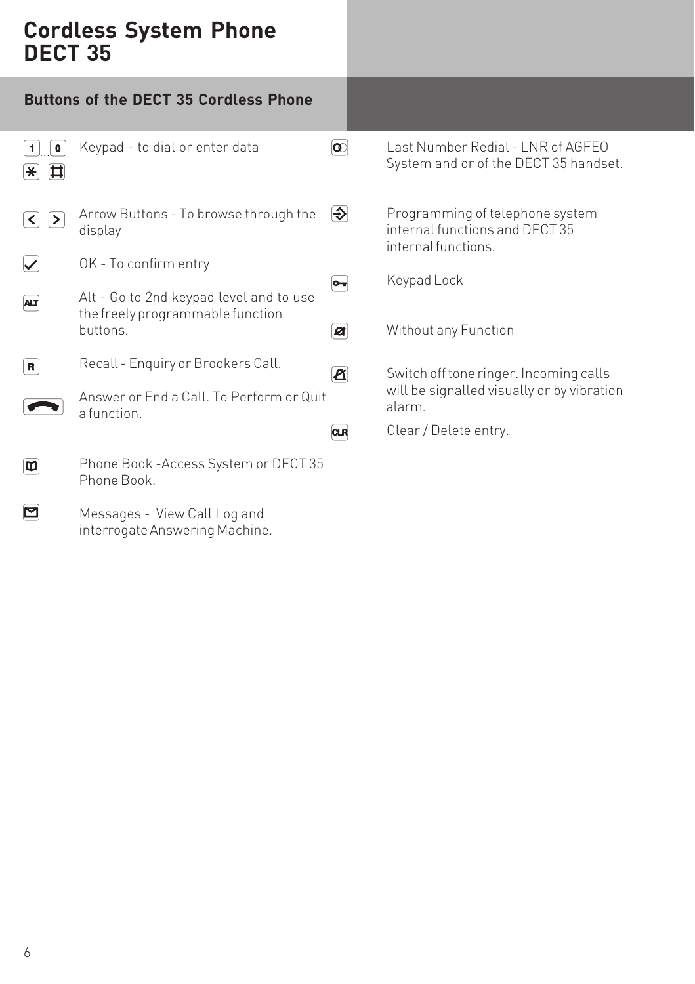|                                     | <b>Buttons of the DECT 35 Cordless Phone</b>                                            |                               |                                                                                          |
|-------------------------------------|-----------------------------------------------------------------------------------------|-------------------------------|------------------------------------------------------------------------------------------|
| $\mathbf 0$<br>$\star$<br>申         | Keypad - to dial or enter data                                                          | $  \overline{\mathbf{o}}  $   | Last Number Redial - LNR of AGFEO<br>System and or of the DECT 35 handset.               |
| ∣≻∣<br>$\left\langle \right\rangle$ | Arrow Buttons - To browse through the<br>display                                        | $\left  \diamondsuit \right $ | Programming of telephone system<br>internal functions and DECT 35<br>internal functions. |
|                                     | OK - To confirm entry                                                                   | ∣⊶∣                           | Keypad Lock                                                                              |
| <b>ALT</b>                          | Alt - Go to 2nd keypad level and to use<br>the freely programmable function<br>buttons. | Ø                             | Without any Function                                                                     |
| R                                   | Recall - Enquiry or Brookers Call.                                                      | $\boxed{\mathbf{Z}}$          | Switch off tone ringer. Incoming calls                                                   |
|                                     | Answer or End a Call. To Perform or Quit<br>a function.                                 |                               | will be signalled visually or by vibration<br>alarm.                                     |
|                                     |                                                                                         | <b>CLR</b>                    | Clear / Delete entry.                                                                    |
| ш                                   | Phone Book -Access System or DECT 35<br>Phone Book.                                     |                               |                                                                                          |
|                                     | Messages - View Call Log and                                                            |                               |                                                                                          |

Messages - View Call Log and interrogate Answering Machine.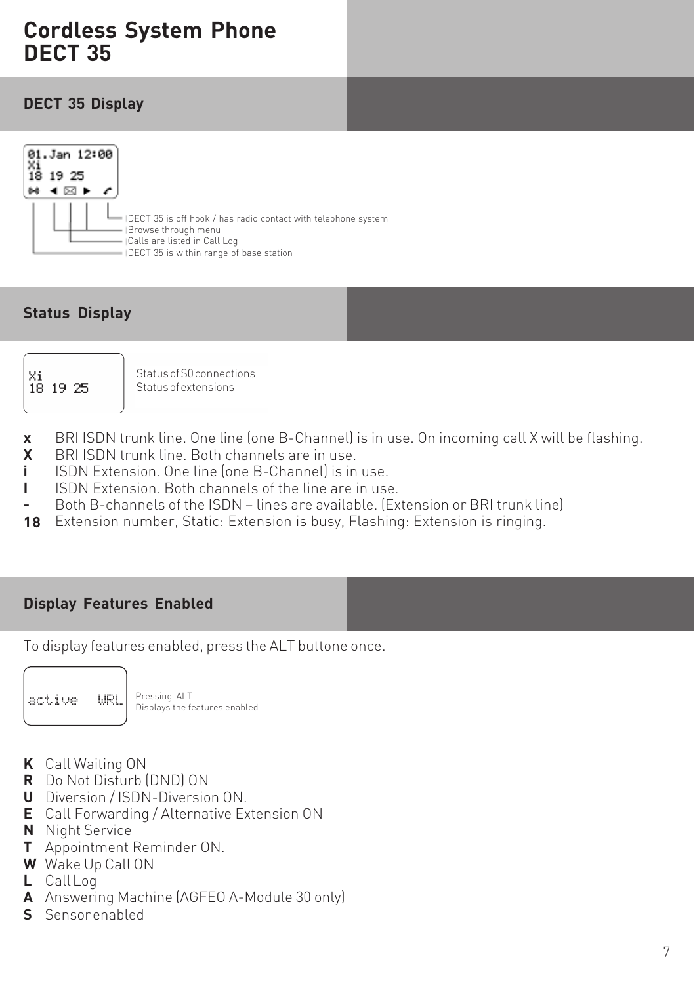#### **DECT 35 Display**



### **Status Display**



Status of S0 connections Status of extensions

- BRI ISDN trunk line. One line (one B-Channel) is in use. On incoming call X will be flashing. **x**
- BRI ISDN trunk line. Both channels are in use. **X**
- ISDN Extension. One line (one B-Channel) is in use. **i**
- ISDN Extension. Both channels of the line are in use. **I**
- Both B-channels of the ISDN lines are available. (Extension or BRI trunk line) **-**
- Extension number, Static: Extension is busy, Flashing: Extension is ringing. **18**

#### **Display Features Enabled**

To display features enabled, press the ALT buttone once.



Pressing ALT  $\text{active}$   $\text{URL}$   $\text{Pressing ALT}$  Displays the features enabled

- Call Waiting ON **K**
- Do Not Disturb (DND) ON **R**
- Diversion / ISDN-Diversion ON. **U**
- Call Forwarding / Alternative Extension ON **E**
- **N** Night Service
- Appointment Reminder ON. **T**
- Wake Up Call ON **W**
- **L** Call Log
- Answering Machine (AGFEO A-Module 30 only) **A**
- Sensor enabled **S**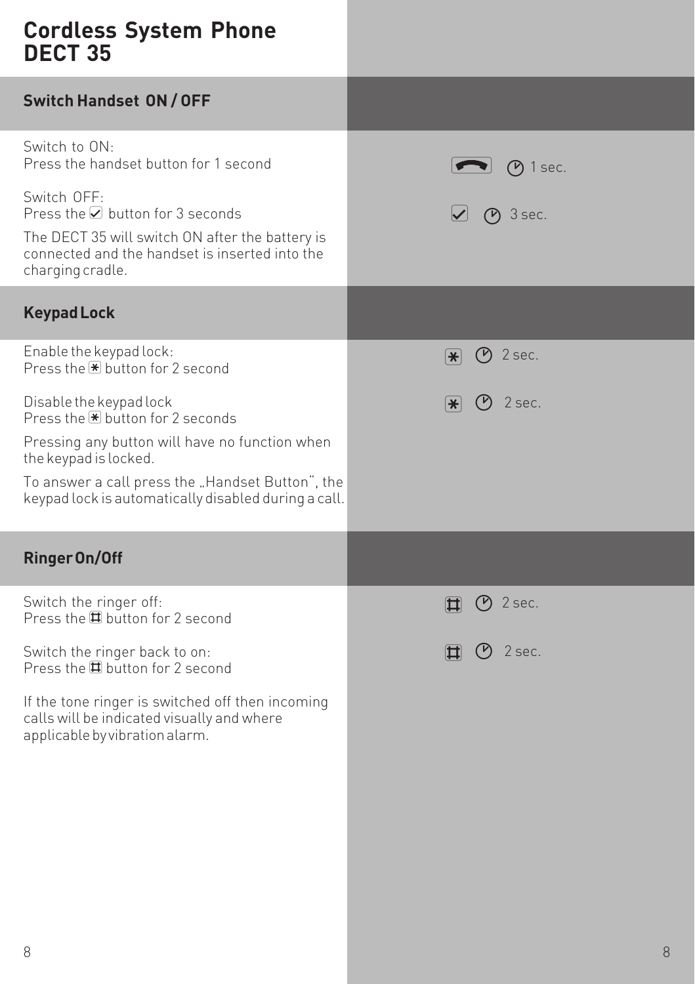| DECI JJ                                                                                                                                                                       |                                   |
|-------------------------------------------------------------------------------------------------------------------------------------------------------------------------------|-----------------------------------|
| Switch Handset ON / OFF                                                                                                                                                       |                                   |
| Switch to ON.<br>Press the handset button for 1 second                                                                                                                        | $(P)$ 1 sec.                      |
| Switch OFF:<br>Press the $\vee$ button for 3 seconds<br>The DECT 35 will switch ON after the battery is<br>connected and the handset is inserted into the<br>charging cradle. | $P$ 3 sec.                        |
| <b>Keypad Lock</b>                                                                                                                                                            |                                   |
| Enable the keypad lock:<br>Press the $\bigstar$ button for 2 second                                                                                                           | $(P)$ 2 sec.<br>$ \divideontimes$ |
| Disable the keypad lock<br>Press the $\bigstar$ button for 2 seconds                                                                                                          | 2 sec.<br>$*$                     |
| Pressing any button will have no function when<br>the keypad is locked.                                                                                                       |                                   |
| To answer a call press the "Handset Button", the<br>keypad lock is automatically disabled during a call.                                                                      |                                   |
| <b>Ringer On/Off</b>                                                                                                                                                          |                                   |
| Switch the ringer off:<br>Press the $\boxplus$ button for 2 second                                                                                                            | ⊙ 2 sec.<br>$ \Box $              |
| Switch the ringer back to on:<br>Press the <b>D</b> button for 2 second                                                                                                       | $(9)$ 2 sec.<br>団                 |
| If the tone ringer is switched off then incoming<br>calls will be indicated visually and where<br>applicable by vibration alarm.                                              |                                   |
|                                                                                                                                                                               |                                   |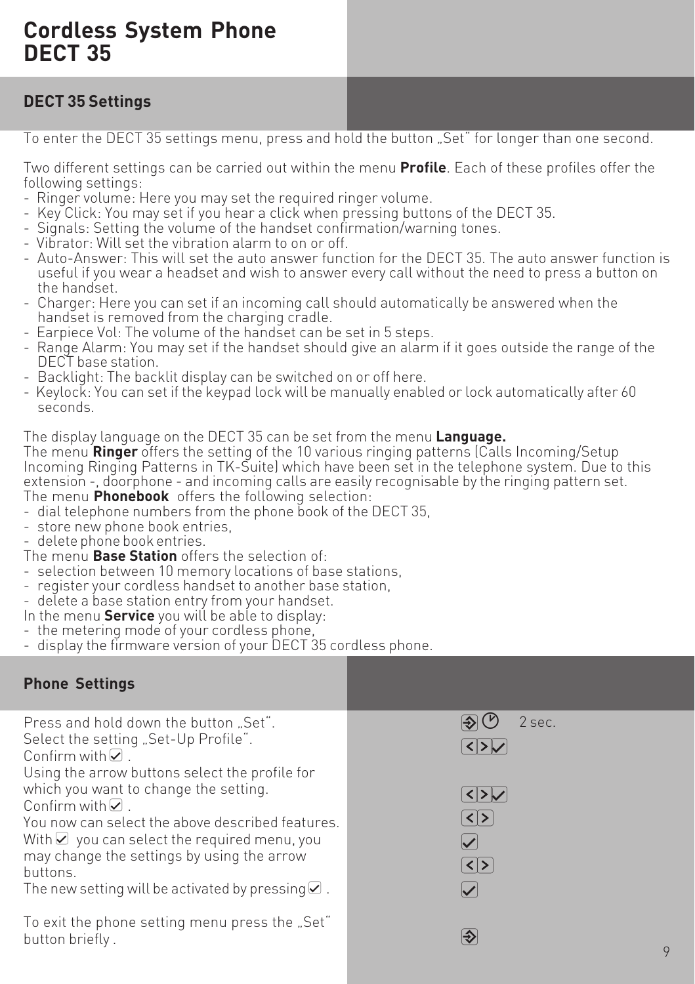## **DECT 35 Settings**

To enter the DECT 35 settings menu, press and hold the button "Set" for longer than one second.

Two different settings can be carried out within the menu **Profile**. Each of these profiles offer the following settings:

- Ringer volume: Here you may set the required ringer volume.
- Key Click: You may set if you hear a click when pressing buttons of the DECT 35.
- Signals: Setting the volume of the handset confirmation/warning tones.
- Vibrator: Will set the vibration alarm to on or off.
- Auto-Answer: This will set the auto answer function for the DECT 35. The auto answer function is useful if you wear a headset and wish to answer every call without the need to press a button on the handset.
- Charger: Here you can set if an incoming call should automatically be answered when the handset is removed from the charging cradle.
- Earpiece Vol: The volume of the handset can be set in 5 steps.
- Range Alarm: You may set if the handset should give an alarm if it goes outside the range of the DECT base station.
- Backlight: The backlit display can be switched on or off here.
- Keylock: You can set if the keypad lock will be manually enabled or lock automatically after 60 seconds.

The display language on the DECT 35 can be set from the menu **Language.**

The menu **Ringer** offers the setting of the 10 various ringing patterns (Calls Incoming/Setup Incoming Ringing Patterns in TK-Suite) which have been set in the telephone system. Due to this extension -, doorphone - and incoming calls are easily recognisable by the ringing pattern set. The menu **Phonebook** offers the following selection:

- dial telephone numbers from the phone book of the DECT 35,
- store new phone book entries,
- delete phone book entries.
- The menu **Base Station** offers the selection of:
- selection between 10 memory locations of base stations,
- register your cordless handset to another base station,
- delete a base station entry from your handset.
- In the menu **Service** you will be able to display:
- the metering mode of your cordless phone,
- display the firmware version of your DECT 35 cordless phone.

## **Phone Settings**

| Press and hold down the button  Set".<br>Select the setting "Set-Up Profile".<br>Confirm with $\Box$ .<br>Using the arrow buttons select the profile for<br>which you want to change the setting. | 2 sec.               |
|---------------------------------------------------------------------------------------------------------------------------------------------------------------------------------------------------|----------------------|
| Confirm with $\nabla$ .                                                                                                                                                                           | $\langle \rangle$    |
| You now can select the above described features.<br>With $\triangleright$ you can select the required menu, you                                                                                   | $\blacktriangledown$ |
| may change the settings by using the arrow<br>buttons.                                                                                                                                            | $ \langle  \rangle$  |
| The new setting will be activated by pressing $\Omega$ .                                                                                                                                          |                      |
| To exit the phone setting menu press the "Set"<br>button briefly.                                                                                                                                 | ∣⊕<br>$\mathsf Q$    |
|                                                                                                                                                                                                   |                      |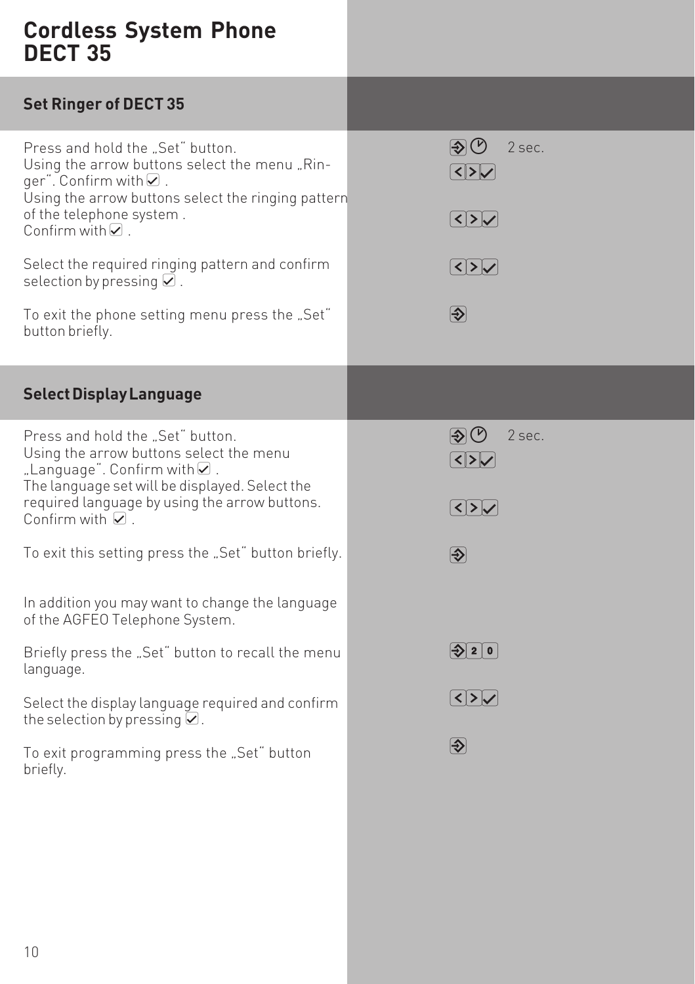| $\circledR$<br>2 sec.<br>$\sqrt{2}$<br>Using the arrow buttons select the ringing pattern |
|-------------------------------------------------------------------------------------------|
| $\sqrt{25}$                                                                               |
| $ \textbf{<} $ > $ \textbf{<} $                                                           |
| $\bigcirc$                                                                                |
|                                                                                           |
| $\circledR$<br>2 sec.<br>$\sqrt{2}$                                                       |
| $\sqrt{25}$                                                                               |
| $\overline{\bigcirc}$                                                                     |
|                                                                                           |
| $ \diamondsuit $ 2 $ 0 $                                                                  |
| $ \textbf{<} $ > $ \textbf{<} $                                                           |
| $\left  \clubsuit \right $                                                                |
|                                                                                           |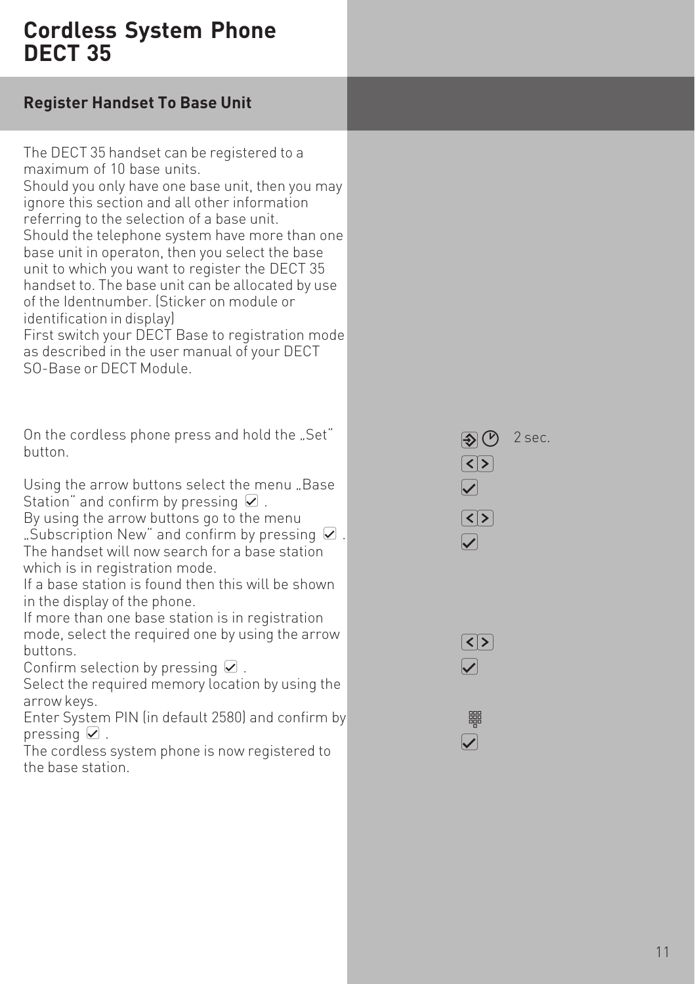| <b>Register Handset To Base Unit</b> |  |  |
|--------------------------------------|--|--|
|                                      |  |  |

The DECT 35 handset can be registered to a maximum of 10 base units. Should you only have one base unit, then you may ignore this section and all other information referring to the selection of a base unit. Should the telephone system have more than one base unit in operaton, then you select the base unit to which you want to register the DECT 35 handset to. The base unit can be allocated by use of the Identnumber. (Sticker on module or identification in display) First switch your DECT Base to registration mode as described in the user manual of your DECT SO-Base or DECT Module. On the cordless phone press and hold the "Set" button. Using the arrow buttons select the menu "Base Station" and confirm by pressing  $\mathcal Q$ . By using the arrow buttons go to the menu

"Subscription New" and confirm by pressing  $\Omega$ . The handset will now search for a base station which is in registration mode.

If a base station is found then this will be shown in the display of the phone.

If more than one base station is in registration mode, select the required one by using the arrow buttons.

Confirm selection by pressing  $\mathcal Q$ .

Select the required memory location by using the arrow keys.

Enter System PIN (in default 2580) and confirm by pressing  $\mathcal Q$ .

The cordless system phone is now registered to the base station.

 $\bigcirc$  2 sec.  $\lceil$ < $\lceil > \rceil$  $\overline{\blacktriangledown}$  $\lceil$ < $\lceil$ > $\rceil$  $\boldsymbol{\mathcal{U}}$ 

 $\lceil$  $\blacktriangleright$ 

> z  $\overline{\blacktriangledown}$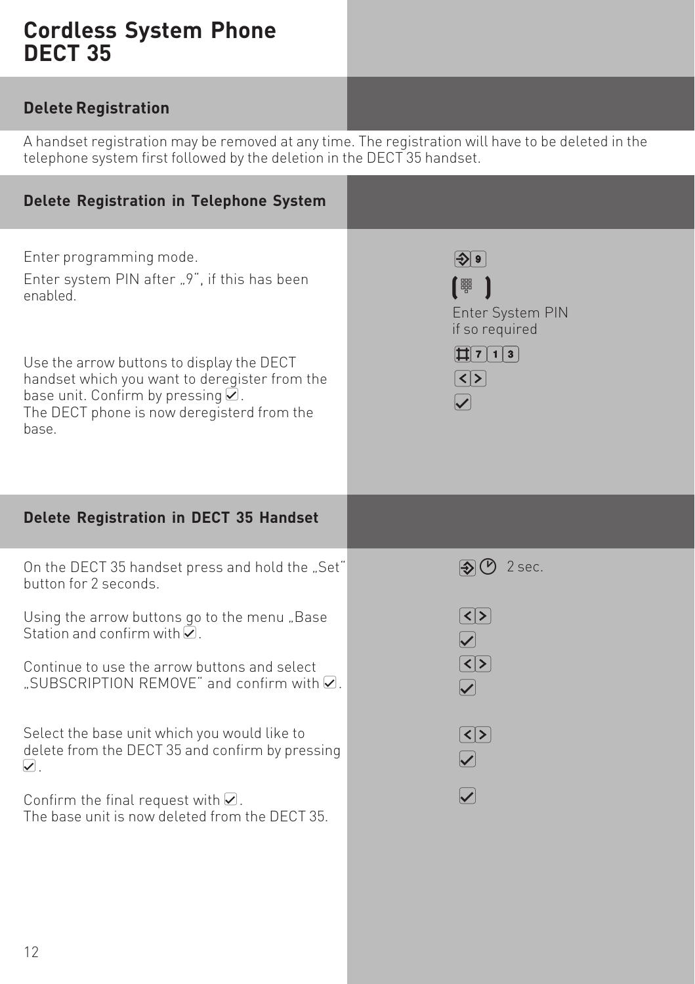## **Delete Registration**

A handset registration may be removed at any time. The registration will have to be deleted in the telephone system first followed by the deletion in the DECT 35 handset.

| Delete Registration in Telephone System                                                                                                                                                        |                                                                                                                                     |
|------------------------------------------------------------------------------------------------------------------------------------------------------------------------------------------------|-------------------------------------------------------------------------------------------------------------------------------------|
| Enter programming mode.<br>Enter system PIN after "9", if this has been<br>enabled                                                                                                             | $ \diamondsuit $ 9 $ $<br>「體<br>Enter System PIN<br>if so required                                                                  |
| Use the arrow buttons to display the DECT<br>handset which you want to deregister from the<br>base unit. Confirm by pressing $\angle$ .<br>The DECT phone is now deregisterd from the<br>base. | $\vert \vert \vert \vert \vert \vert \vert \vert \vert \vert \vert \vert \vert \vert \vert \vert$<br>$\lceil$ < $\lceil$ > $\rceil$ |
| <b>Delete Registration in DECT 35 Handset</b>                                                                                                                                                  |                                                                                                                                     |
| On the DECT 35 handset press and hold the "Set"<br>button for 2 seconds.                                                                                                                       | $\circledR$ 2 sec.                                                                                                                  |
| Using the arrow buttons go to the menu "Base<br>Station and confirm with $\nabla$ .                                                                                                            | $\left[\leq\right]\geq\right]$<br>$\bm \nabla$                                                                                      |
| Continue to use the arrow buttons and select<br>"SUBSCRIPTION REMOVE" and confirm with Ø.                                                                                                      | $\boxed{\text{S}}$<br>$\blacktriangledown$                                                                                          |
| Select the base unit which you would like to<br>delete from the DECT 35 and confirm by pressing<br>$\nabla$ .                                                                                  | $\circled{s}$<br>$\vert\boldsymbol{\mathcal{p}}\vert$                                                                               |
| Confirm the final request with $\mathcal Q$ .<br>The base unit is now deleted from the DECT 35.                                                                                                | $\checkmark$                                                                                                                        |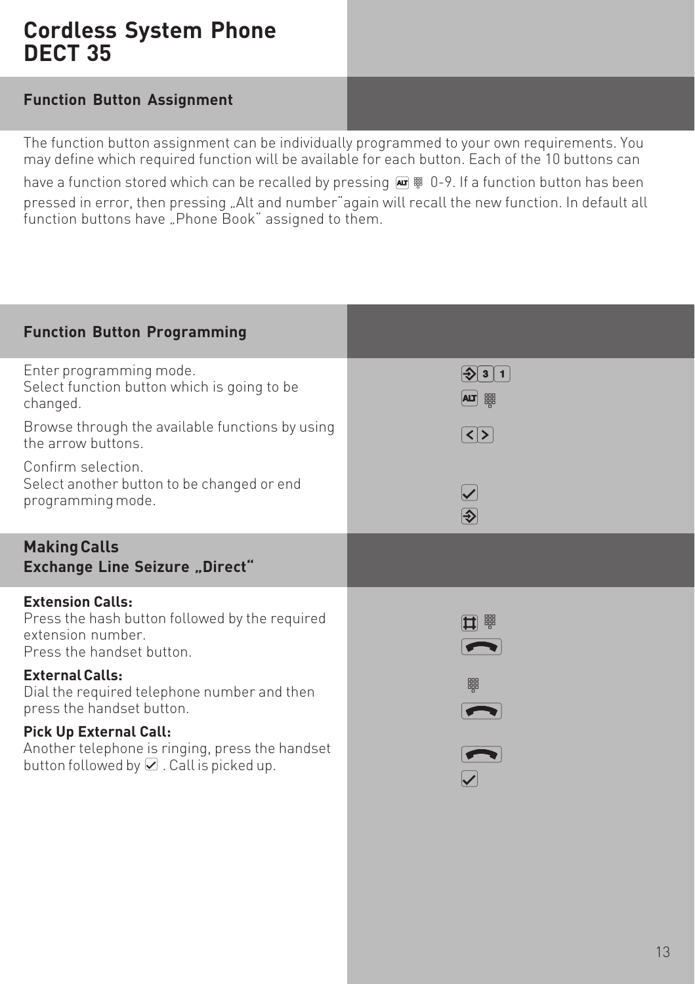#### **Function Button Assignment**

The function button assignment can be individually programmed to your own requirements. You may define which required function will be available for each button. Each of the 10 buttons can have a function stored which can be recalled by pressing  $\overline{AB}$   $\overline{B}$  0-9. If a function button has been pressed in error, then pressing "Alt and number" again will recall the new function. In default all function buttons have . Phone Book" assigned to them.

| <b>Function Button Programming</b>                                                                                          |                             |
|-----------------------------------------------------------------------------------------------------------------------------|-----------------------------|
| Enter programming mode.<br>Select function button which is going to be<br>changed.                                          | $ \rightarrow 3 $ 1<br>四體   |
| Browse through the available functions by using<br>the arrow buttons                                                        | $\langle \rangle$           |
| Confirm selection.<br>Select another button to be changed or end<br>programming mode.                                       | $\blacktriangleright$<br>[୬ |
| <b>Making Calls</b><br><b>Exchange Line Seizure "Direct"</b>                                                                |                             |
| <b>Extension Calls:</b><br>Press the hash button followed by the required<br>extension number.<br>Press the handset button. | ゴ 譜                         |
| <b>External Calls:</b><br>Dial the required telephone number and then<br>press the handset button.                          | 器                           |
| Pick Up External Call:<br>Another telephone is ringing, press the handset<br>button followed by ☑. Call is picked up.       |                             |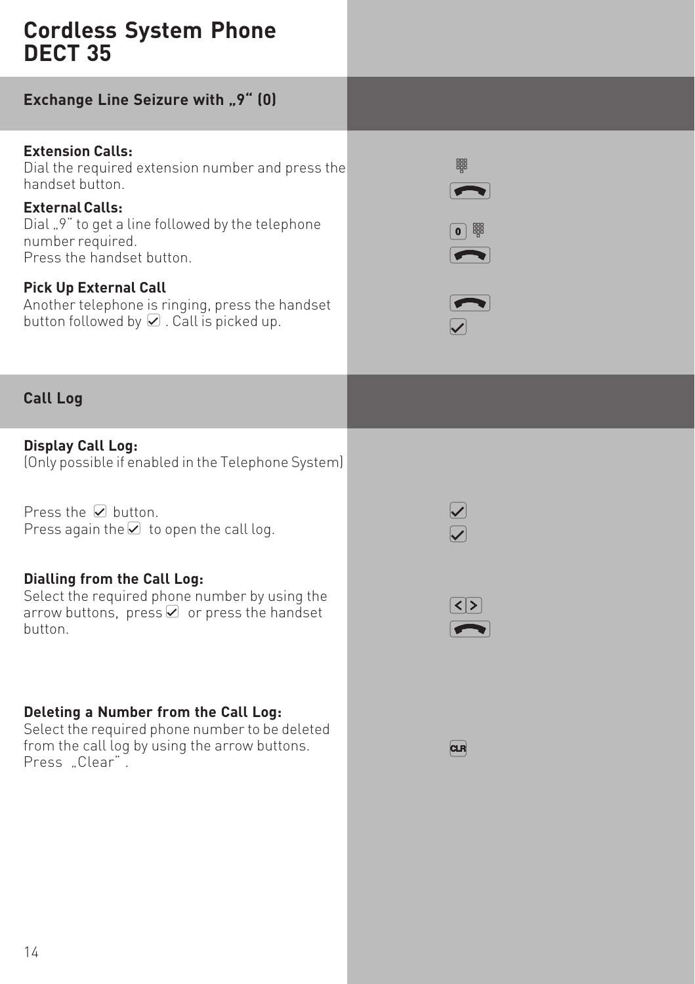**Exchange Line Seizure with "9" (0)** 

**Extension Calls:** Dial the required extension number and press the handset button.

**External Calls:** Dial "9" to get a line followed by the telephone number required. Press the handset button.

#### **Pick Up External Call** Another telephone is ringing, press the handset

button followed by  $\Omega$  . Call is picked up.





## **Call Log**

**Display Call Log:** (Only possible if enabled in the Telephone System)

Press the  $\vee$  button. Press again the  $\Box$  to open the call log.

## **Dialling from the Call Log:**

Select the required phone number by using the arrow buttons, press  $\Omega$  or press the handset button.

#### **Deleting a Number from the Call Log:**

Select the required phone number to be deleted from the call log by using the arrow buttons. Press "Clear".



 $\overline{\mathbf{a}}$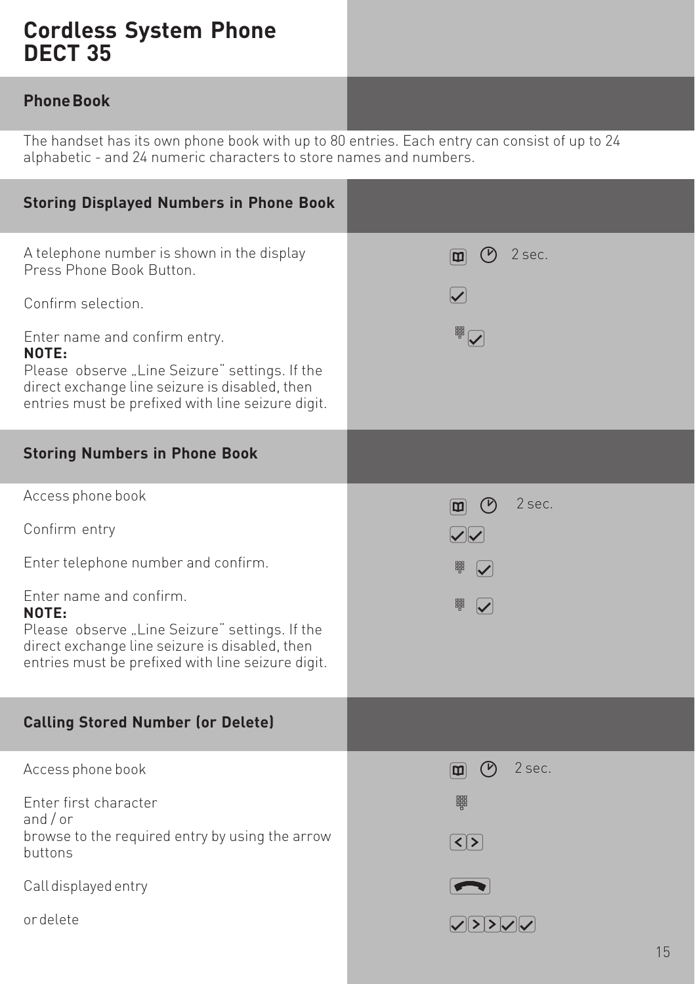### **Phone Book**

The handset has its own phone book with up to 80 entries. Each entry can consist of up to 24 alphabetic - and 24 numeric characters to store names and numbers.

| <b>Storing Displayed Numbers in Phone Book</b>                                                                                                                                                                                                                                                  |                                                                                  |
|-------------------------------------------------------------------------------------------------------------------------------------------------------------------------------------------------------------------------------------------------------------------------------------------------|----------------------------------------------------------------------------------|
| A telephone number is shown in the display<br>Press Phone Book Button.<br>Confirm selection.<br>Enter name and confirm entry.<br>NOTE:<br>Please observe "Line Seizure" settings. If the<br>direct exchange line seizure is disabled, then<br>entries must be prefixed with line seizure digit. | $\odot$<br>2 sec.<br>$ \mathbf{m} $<br>$\overline{\bm{\mathcal{Y}}}$<br><b>N</b> |
| <b>Storing Numbers in Phone Book</b>                                                                                                                                                                                                                                                            |                                                                                  |
| Access phone book                                                                                                                                                                                                                                                                               | 2 sec.<br>回の                                                                     |
| Confirm entry                                                                                                                                                                                                                                                                                   | $\sqrt{2}$                                                                       |
| Enter telephone number and confirm.                                                                                                                                                                                                                                                             | 鼺<br>$\blacktriangledown$                                                        |
| Enter name and confirm.<br>NOTE:<br>Please observe "Line Seizure" settings. If the<br>direct exchange line seizure is disabled, then<br>entries must be prefixed with line seizure digit.                                                                                                       | 鼺<br>$\blacktriangledown$                                                        |
| <b>Calling Stored Number (or Delete)</b>                                                                                                                                                                                                                                                        |                                                                                  |
| Access phone book                                                                                                                                                                                                                                                                               | $\circledcirc$<br>2 sec.<br>$\boxed{m}$                                          |
| Enter first character<br>and $/$ or                                                                                                                                                                                                                                                             | 鼺                                                                                |
| browse to the required entry by using the arrow<br><b>buttons</b>                                                                                                                                                                                                                               | $\lceil \zeta \rceil$                                                            |
| Call displayed entry                                                                                                                                                                                                                                                                            |                                                                                  |
| ordelete                                                                                                                                                                                                                                                                                        | $ \mathcal{S}  >  \mathcal{S} $                                                  |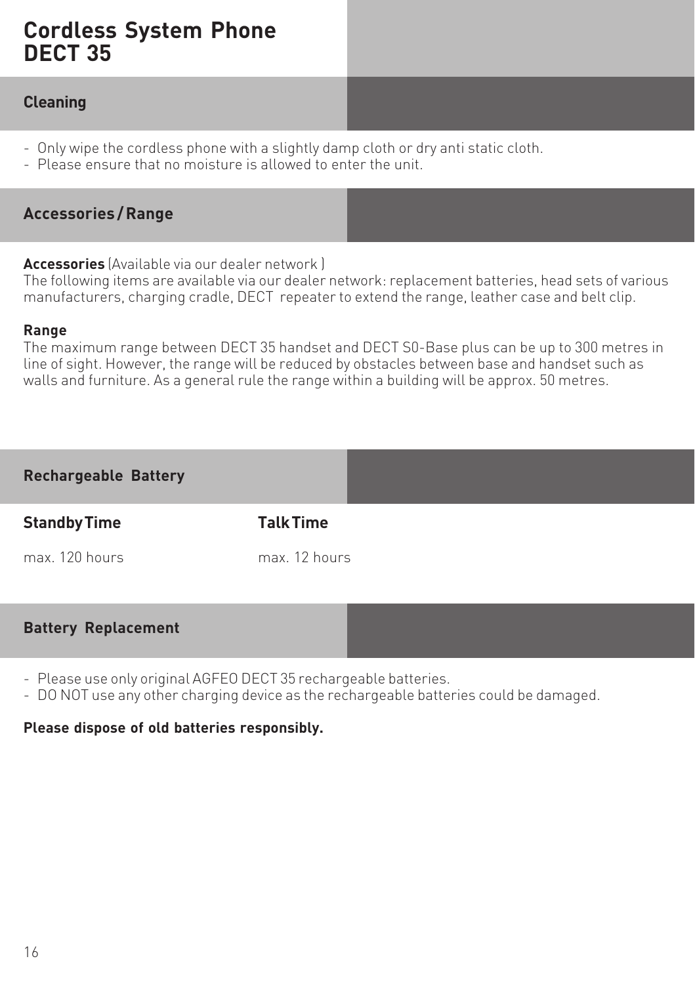#### **Cleaning**

- Only wipe the cordless phone with a slightly damp cloth or dry anti static cloth.
- Please ensure that no moisture is allowed to enter the unit.

#### **Accessories / Range**

**Battery Replacement**

#### **Accessories** (Available via our dealer network )

The following items are available via our dealer network: replacement batteries, head sets of various manufacturers, charging cradle, DECT repeater to extend the range, leather case and belt clip.

#### **Range**

The maximum range between DECT 35 handset and DECT S0-Base plus can be up to 300 metres in line of sight. However, the range will be reduced by obstacles between base and handset such as walls and furniture. As a general rule the range within a building will be approx. 50 metres.

## **Rechargeable Battery Standby Time Talk Time** max 120 hours max 12 hours

- Please use only original AGFEO DECT 35 rechargeable batteries.
- DO NOT use any other charging device as the rechargeable batteries could be damaged.

#### **Please dispose of old batteries responsibly.**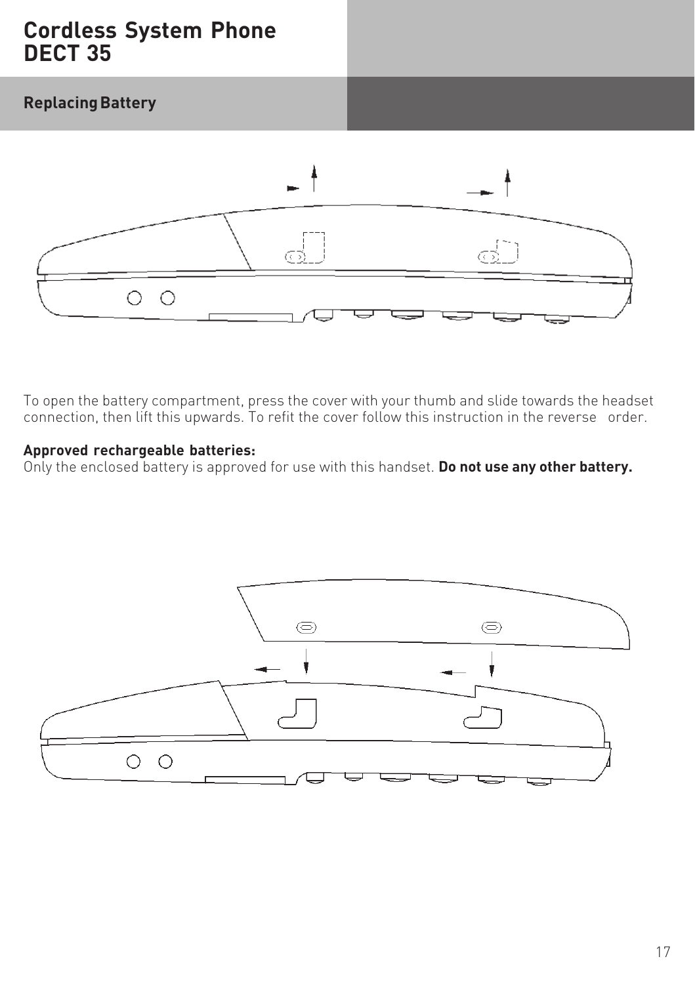## **Replacing Battery**



To open the battery compartment, press the cover with your thumb and slide towards the headset connection, then lift this upwards. To refit the cover follow this instruction in the reverse order.

#### **Approved rechargeable batteries:**

Only the enclosed battery is approved for use with this handset. **Do not use any other battery.**

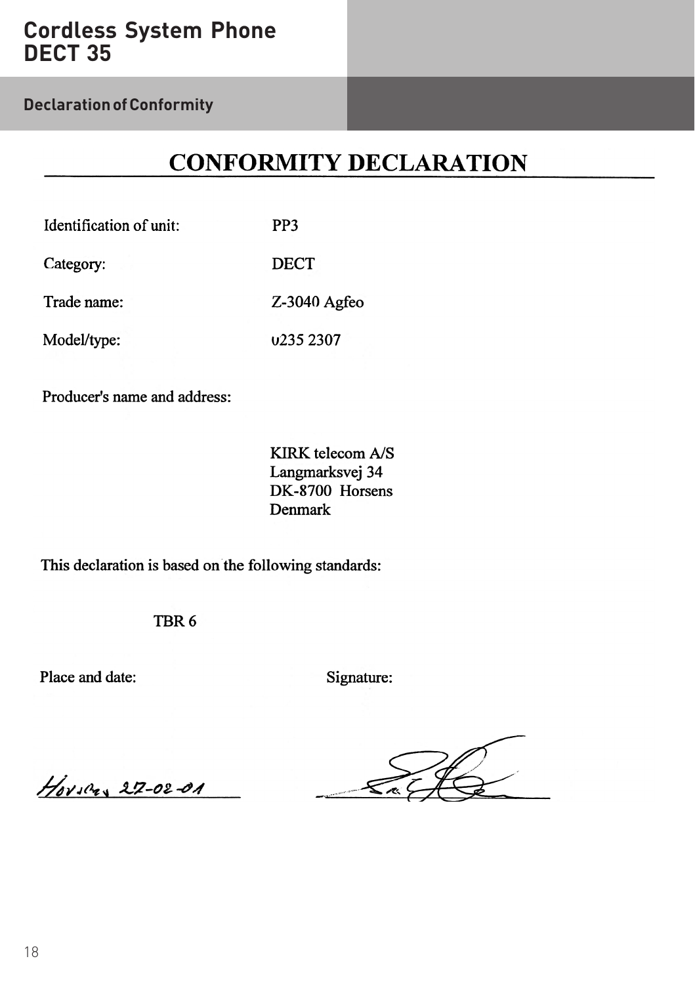**Declaration of Conformity**

## **CONFORMITY DECLARATION**

| Identification of unit: | PP3                   |
|-------------------------|-----------------------|
| Category:               | <b>DECT</b>           |
| Trade name:             | $Z-3040$ Agfeo        |
| Model/type:             | u <sub>235</sub> 2307 |

Producer's name and address:

KIRK telecom A/S Langmarksvej 34 DK-8700 Horsens Denmark

This declaration is based on the following standards:

TBR<sub>6</sub>

Place and date:

Signature:

 $H_{0}$ vscas 27-02-01